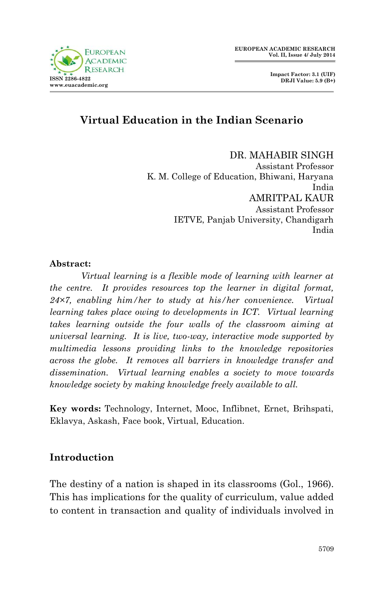

# **Virtual Education in the Indian Scenario**

DR. MAHABIR SINGH

Assistant Professor K. M. College of Education, Bhiwani, Haryana India AMRITPAL KAUR Assistant Professor IETVE, Panjab University, Chandigarh India

#### **Abstract:**

**ISSN 2396-4839 www.euacademic.org**

**RESE** 

*Virtual learning is a flexible mode of learning with learner at the centre. It provides resources top the learner in digital format, 24×7, enabling him/her to study at his/her convenience. Virtual learning takes place owing to developments in ICT. Virtual learning takes learning outside the four walls of the classroom aiming at universal learning. It is live, two-way, interactive mode supported by multimedia lessons providing links to the knowledge repositories across the globe. It removes all barriers in knowledge transfer and dissemination. Virtual learning enables a society to move towards knowledge society by making knowledge freely available to all.*

**Key words:** Technology, Internet, Mooc, Inflibnet, Ernet, Brihspati, Eklavya, Askash, Face book, Virtual, Education.

#### **Introduction**

The destiny of a nation is shaped in its classrooms (Gol., 1966). This has implications for the quality of curriculum, value added to content in transaction and quality of individuals involved in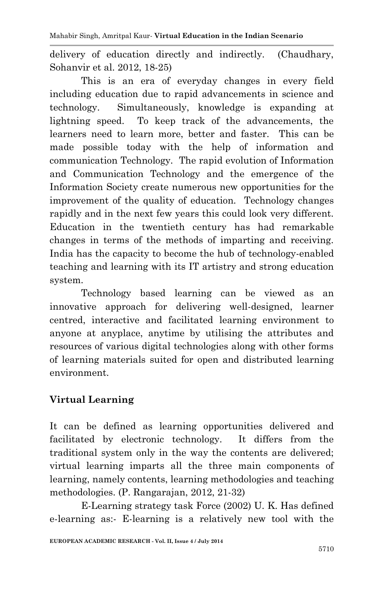Mahabir Singh, Amritpal Kaur*-* **Virtual Education in the Indian Scenario**

delivery of education directly and indirectly. (Chaudhary, Sohanvir et al. 2012, 18-25)

This is an era of everyday changes in every field including education due to rapid advancements in science and technology. Simultaneously, knowledge is expanding at lightning speed. To keep track of the advancements, the learners need to learn more, better and faster. This can be made possible today with the help of information and communication Technology. The rapid evolution of Information and Communication Technology and the emergence of the Information Society create numerous new opportunities for the improvement of the quality of education. Technology changes rapidly and in the next few years this could look very different. Education in the twentieth century has had remarkable changes in terms of the methods of imparting and receiving. India has the capacity to become the hub of technology-enabled teaching and learning with its IT artistry and strong education system.

Technology based learning can be viewed as an innovative approach for delivering well-designed, learner centred, interactive and facilitated learning environment to anyone at anyplace, anytime by utilising the attributes and resources of various digital technologies along with other forms of learning materials suited for open and distributed learning environment.

# **Virtual Learning**

It can be defined as learning opportunities delivered and facilitated by electronic technology. It differs from the traditional system only in the way the contents are delivered; virtual learning imparts all the three main components of learning, namely contents, learning methodologies and teaching methodologies. (P. Rangarajan, 2012, 21-32)

E-Learning strategy task Force (2002) U. K. Has defined e-learning as:- E-learning is a relatively new tool with the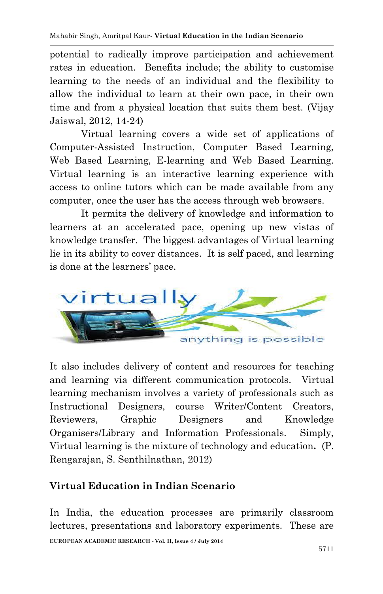potential to radically improve participation and achievement rates in education. Benefits include; the ability to customise learning to the needs of an individual and the flexibility to allow the individual to learn at their own pace, in their own time and from a physical location that suits them best. (Vijay Jaiswal, 2012, 14-24)

Virtual learning covers a wide set of applications of Computer-Assisted Instruction, Computer Based Learning, Web Based Learning, E-learning and Web Based Learning. Virtual learning is an interactive learning experience with access to online tutors which can be made available from any computer, once the user has the access through web browsers.

It permits the delivery of knowledge and information to learners at an accelerated pace, opening up new vistas of knowledge transfer. The biggest advantages of Virtual learning lie in its ability to cover distances. It is self paced, and learning is done at the learners' pace.



It also includes delivery of content and resources for teaching and learning via different communication protocols. Virtual learning mechanism involves a variety of professionals such as Instructional Designers, course Writer/Content Creators, Reviewers, Graphic Designers and Knowledge Organisers/Library and Information Professionals. Simply, Virtual learning is the mixture of technology and education**.** (P. Rengarajan, S. Senthilnathan, 2012)

# **Virtual Education in Indian Scenario**

**EUROPEAN ACADEMIC RESEARCH - Vol. II, Issue 4 / July 2014** In India, the education processes are primarily classroom lectures, presentations and laboratory experiments. These are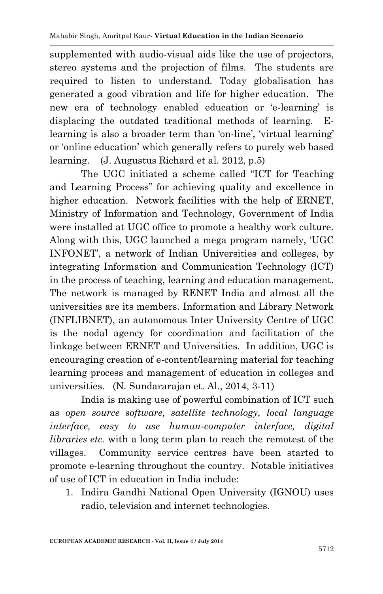supplemented with audio-visual aids like the use of projectors, stereo systems and the projection of films. The students are required to listen to understand. Today globalisation has generated a good vibration and life for higher education. The new era of technology enabled education or 'e-learning' is displacing the outdated traditional methods of learning. Elearning is also a broader term than 'on-line', 'virtual learning' or 'online education' which generally refers to purely web based learning. (J. Augustus Richard et al. 2012, p.5)

The UGC initiated a scheme called "ICT for Teaching and Learning Process" for achieving quality and excellence in higher education. Network facilities with the help of ERNET, Ministry of Information and Technology, Government of India were installed at UGC office to promote a healthy work culture. Along with this, UGC launched a mega program namely, 'UGC INFONET', a network of Indian Universities and colleges, by integrating Information and Communication Technology (ICT) in the process of teaching, learning and education management. The network is managed by RENET India and almost all the universities are its members. Information and Library Network (INFLIBNET), an autonomous Inter University Centre of UGC is the nodal agency for coordination and facilitation of the linkage between ERNET and Universities. In addition, UGC is encouraging creation of e-content/learning material for teaching learning process and management of education in colleges and universities. (N. Sundararajan et. Al., 2014, 3-11)

India is making use of powerful combination of ICT such as *open source software, satellite technology, local language interface, easy to use human-computer interface, digital libraries etc.* with a long term plan to reach the remotest of the villages. Community service centres have been started to promote e-learning throughout the country. Notable initiatives of use of ICT in education in India include:

1. Indira Gandhi National Open University (IGNOU) uses radio, television and internet technologies.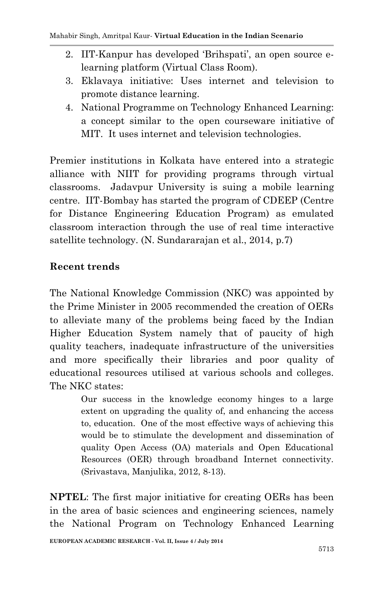- 2. IIT-Kanpur has developed 'Brihspati', an open source elearning platform (Virtual Class Room).
- 3. Eklavaya initiative: Uses internet and television to promote distance learning.
- 4. National Programme on Technology Enhanced Learning: a concept similar to the open courseware initiative of MIT. It uses internet and television technologies.

Premier institutions in Kolkata have entered into a strategic alliance with NIIT for providing programs through virtual classrooms. Jadavpur University is suing a mobile learning centre. IIT-Bombay has started the program of CDEEP (Centre for Distance Engineering Education Program) as emulated classroom interaction through the use of real time interactive satellite technology. (N. Sundararajan et al., 2014, p.7)

### **Recent trends**

The National Knowledge Commission (NKC) was appointed by the Prime Minister in 2005 recommended the creation of OERs to alleviate many of the problems being faced by the Indian Higher Education System namely that of paucity of high quality teachers, inadequate infrastructure of the universities and more specifically their libraries and poor quality of educational resources utilised at various schools and colleges. The NKC states:

> Our success in the knowledge economy hinges to a large extent on upgrading the quality of, and enhancing the access to, education. One of the most effective ways of achieving this would be to stimulate the development and dissemination of quality Open Access (OA) materials and Open Educational Resources (OER) through broadband Internet connectivity. (Srivastava, Manjulika, 2012, 8-13).

**NPTEL**: The first major initiative for creating OERs has been in the area of basic sciences and engineering sciences, namely the National Program on Technology Enhanced Learning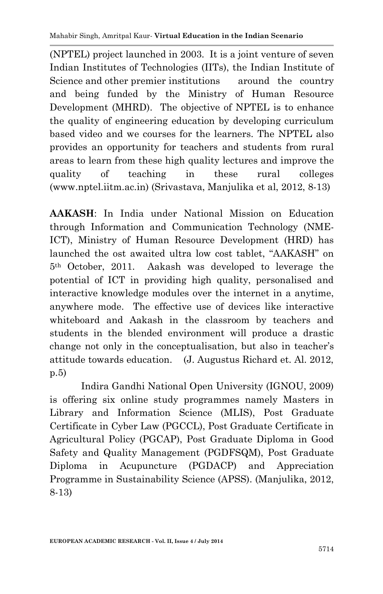(NPTEL) project launched in 2003. It is a joint venture of seven Indian Institutes of Technologies (IITs), the Indian Institute of Science and other premier institutions around the country and being funded by the Ministry of Human Resource Development (MHRD). The objective of NPTEL is to enhance the quality of engineering education by developing curriculum based video and we courses for the learners. The NPTEL also provides an opportunity for teachers and students from rural areas to learn from these high quality lectures and improve the quality of teaching in these rural colleges (www.nptel.iitm.ac.in) (Srivastava, Manjulika et al, 2012, 8-13)

**AAKASH**: In India under National Mission on Education through Information and Communication Technology (NME-ICT), Ministry of Human Resource Development (HRD) has launched the ost awaited ultra low cost tablet, "AAKASH" on 5th October, 2011. Aakash was developed to leverage the potential of ICT in providing high quality, personalised and interactive knowledge modules over the internet in a anytime, anywhere mode. The effective use of devices like interactive whiteboard and Aakash in the classroom by teachers and students in the blended environment will produce a drastic change not only in the conceptualisation, but also in teacher's attitude towards education. (J. Augustus Richard et. Al. 2012, p.5)

Indira Gandhi National Open University (IGNOU, 2009) is offering six online study programmes namely Masters in Library and Information Science (MLIS), Post Graduate Certificate in Cyber Law (PGCCL), Post Graduate Certificate in Agricultural Policy (PGCAP), Post Graduate Diploma in Good Safety and Quality Management (PGDFSQM), Post Graduate Diploma in Acupuncture (PGDACP) and Appreciation Programme in Sustainability Science (APSS). (Manjulika, 2012, 8-13)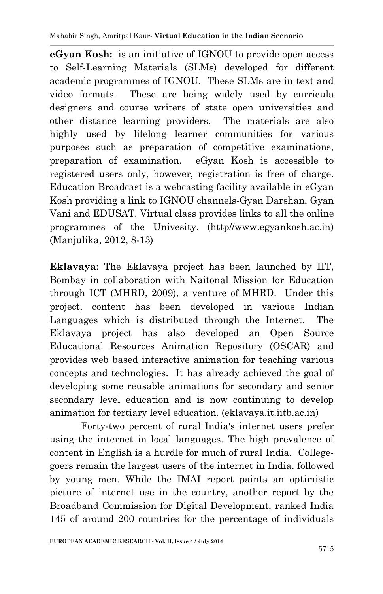**eGyan Kosh:** is an initiative of IGNOU to provide open access to Self-Learning Materials (SLMs) developed for different academic programmes of IGNOU. These SLMs are in text and video formats. These are being widely used by curricula designers and course writers of state open universities and other distance learning providers. The materials are also highly used by lifelong learner communities for various purposes such as preparation of competitive examinations, preparation of examination. eGyan Kosh is accessible to registered users only, however, registration is free of charge. Education Broadcast is a webcasting facility available in eGyan Kosh providing a link to IGNOU channels-Gyan Darshan, Gyan Vani and EDUSAT. Virtual class provides links to all the online programmes of the Univesity. (http//www.egyankosh.ac.in) (Manjulika, 2012, 8-13)

**Eklavaya**: The Eklavaya project has been launched by IIT, Bombay in collaboration with Naitonal Mission for Education through ICT (MHRD, 2009), a venture of MHRD. Under this project, content has been developed in various Indian Languages which is distributed through the Internet. The Eklavaya project has also developed an Open Source Educational Resources Animation Repository (OSCAR) and provides web based interactive animation for teaching various concepts and technologies. It has already achieved the goal of developing some reusable animations for secondary and senior secondary level education and is now continuing to develop animation for tertiary level education. (eklavaya.it.iitb.ac.in)

Forty-two percent of rural India's internet users prefer using the internet in local languages. The high prevalence of content in English is a hurdle for much of rural India. Collegegoers remain the largest users of the internet in India, followed by young men. While the IMAI report paints an optimistic picture of internet use in the country, another report by the Broadband Commission for Digital Development, ranked India 145 of around 200 countries for the percentage of individuals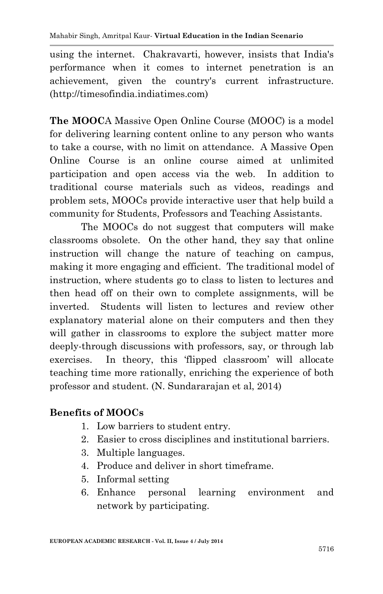using the internet. Chakravarti, however, insists that India's performance when it comes to internet penetration is an achievement, given the country's current infrastructure. (http://timesofindia.indiatimes.com)

**The MOOC**A Massive Open Online Course (MOOC) is a model for delivering learning content online to any person who wants to take a course, with no limit on attendance. A Massive Open Online Course is an online course aimed at unlimited participation and open access via the web. In addition to traditional course materials such as videos, readings and problem sets, MOOCs provide interactive user that help build a community for Students, Professors and Teaching Assistants.

The MOOCs do not suggest that computers will make classrooms obsolete. On the other hand, they say that online instruction will change the nature of teaching on campus, making it more engaging and efficient. The traditional model of instruction, where students go to class to listen to lectures and then head off on their own to complete assignments, will be inverted. Students will listen to lectures and review other explanatory material alone on their computers and then they will gather in classrooms to explore the subject matter more deeply-through discussions with professors, say, or through lab exercises. In theory, this 'flipped classroom' will allocate teaching time more rationally, enriching the experience of both professor and student. (N. Sundararajan et al, 2014)

#### **Benefits of MOOCs**

- 1. Low barriers to student entry.
- 2. Easier to cross disciplines and institutional barriers.
- 3. Multiple languages.
- 4. Produce and deliver in short timeframe.
- 5. Informal setting
- 6. Enhance personal learning environment and network by participating.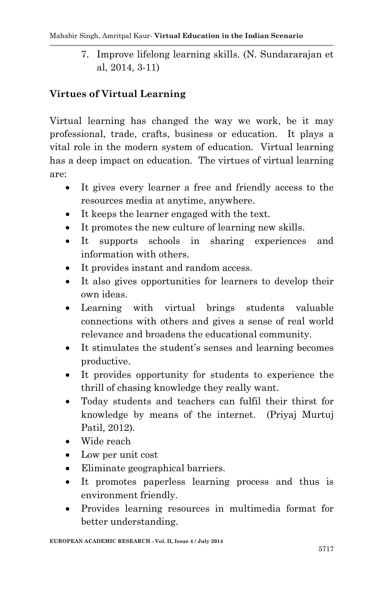7. Improve lifelong learning skills. (N. Sundararajan et al, 2014, 3-11)

### **Virtues of Virtual Learning**

Virtual learning has changed the way we work, be it may professional, trade, crafts, business or education. It plays a vital role in the modern system of education. Virtual learning has a deep impact on education. The virtues of virtual learning are:

- It gives every learner a free and friendly access to the resources media at anytime, anywhere.
- It keeps the learner engaged with the text.
- It promotes the new culture of learning new skills.
- It supports schools in sharing experiences and information with others.
- It provides instant and random access.
- It also gives opportunities for learners to develop their own ideas.
- Learning with virtual brings students valuable connections with others and gives a sense of real world relevance and broadens the educational community.
- It stimulates the student's senses and learning becomes productive.
- It provides opportunity for students to experience the thrill of chasing knowledge they really want.
- Today students and teachers can fulfil their thirst for knowledge by means of the internet. (Priyaj Murtuj Patil, 2012).
- Wide reach
- Low per unit cost
- Eliminate geographical barriers.
- It promotes paperless learning process and thus is environment friendly.
- Provides learning resources in multimedia format for better understanding.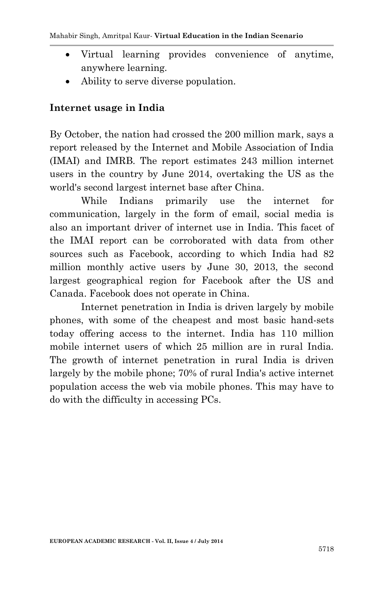- Virtual learning provides convenience of anytime, anywhere learning.
- Ability to serve diverse population.

#### **Internet usage in India**

By October, the nation had crossed the 200 million mark, says a report released by the Internet and Mobile Association of India (IMAI) and IMRB. The report estimates 243 million internet users in the country by June 2014, overtaking the US as the world's second largest internet base after China.

While Indians primarily use the internet for communication, largely in the form of email, social media is also an important driver of internet use in India. This facet of the IMAI report can be corroborated with data from other sources such as Facebook, according to which India had 82 million monthly active users by June 30, 2013, the second largest geographical region for Facebook after the US and Canada. Facebook does not operate in China.

Internet penetration in India is driven largely by mobile phones, with some of the cheapest and most basic hand-sets today offering access to the internet. India has 110 million mobile internet users of which 25 million are in rural India. The growth of internet penetration in rural India is driven largely by the mobile phone; 70% of rural India's active internet population access the web via mobile phones. This may have to do with the difficulty in accessing PCs.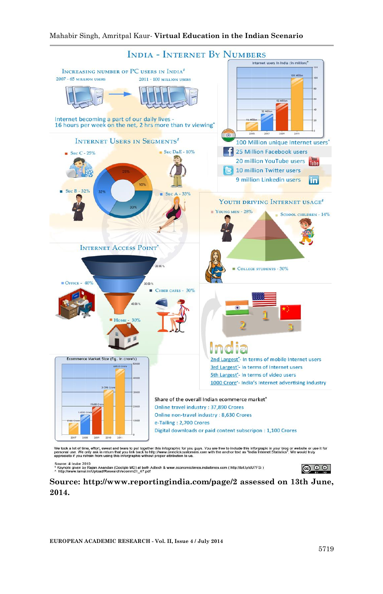

Source: # Icube 2010<br>\* Keynote given by Rajan Anandan (Goolgie MD) at both Adtech & www.economictimes.indiatimes.com ( http://bit.ly/dU7FSi )<br>^ http://www.iamai.in/Upload/Research/ecomm21\_47.pdf



**Source: http://www.reportingindia.com/page/2 assessed on 13th June, 2014.**